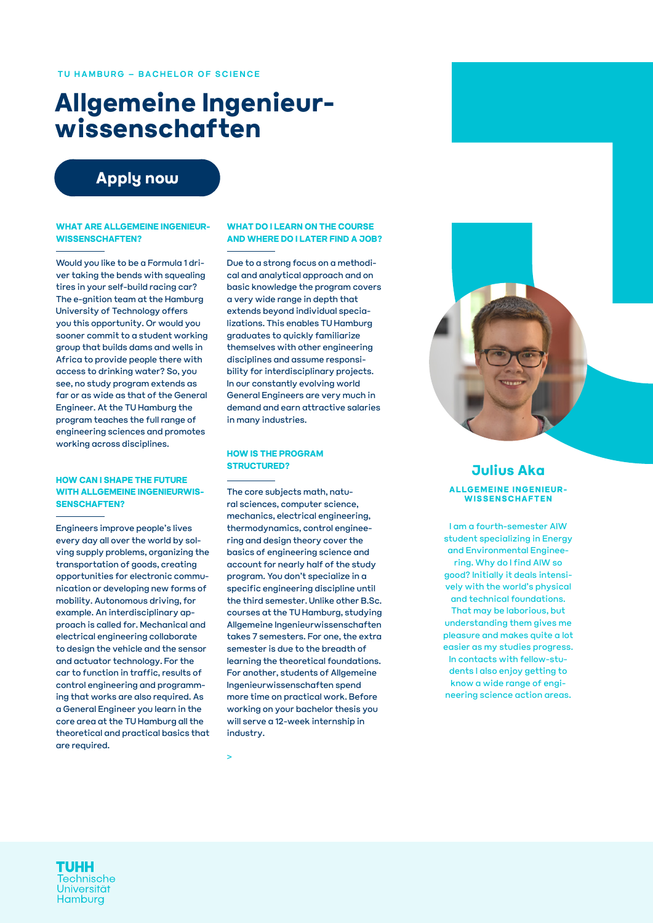# **Allgemeine Ingenieurwissenschaften**

### **[Apply now](https://tune.tuhh.de/qisserver/pages/cs/sys/portal/hisinoneStartPage.faces)**

#### **WHAT ARE ALLGEMEINE INGENIEUR-WISSENSCHAFTEN?**

Would you like to be a Formula 1 driver taking the bends with squealing tires in your self-build racing car? The e-gnition team at the Hamburg University of Technology offers you this opportunity. Or would you sooner commit to a student working group that builds dams and wells in Africa to provide people there with access to drinking water? So, you see, no study program extends as far or as wide as that of the General Engineer. At the TU Hamburg the program teaches the full range of engineering sciences and promotes working across disciplines.

#### **HOW CAN I SHAPE THE FUTURE WITH ALLGEMEINE INGENIEURWIS-SENSCHAFTEN?**

Engineers improve people's lives every day all over the world by solving supply problems, organizing the transportation of goods, creating opportunities for electronic communication or developing new forms of mobility. Autonomous driving, for example. An interdisciplinary approach is called for. Mechanical and electrical engineering collaborate to design the vehicle and the sensor and actuator technology. For the car to function in traffic, results of control engineering and programming that works are also required. As a General Engineer you learn in the core area at the TU Hamburg all the theoretical and practical basics that are required.

#### **WHAT DO I LEARN ON THE COURSE AND WHERE DO I LATER FIND A JOB?**

Due to a strong focus on a methodical and analytical approach and on basic knowledge the program covers a very wide range in depth that extends beyond individual specializations. This enables TU Hamburg graduates to quickly familiarize themselves with other engineering disciplines and assume responsibility for interdisciplinary projects. In our constantly evolving world General Engineers are very much in demand and earn attractive salaries in many industries.

#### **HOW IS THE PROGRAM STRUCTURED?**

The core subjects math, natural sciences, computer science, mechanics, electrical engineering, thermodynamics, control engineering and design theory cover the basics of engineering science and account for nearly half of the study program. You don't specialize in a specific engineering discipline until the third semester. Unlike other B.Sc. courses at the TU Hamburg, studying Allgemeine Ingenieurwissenschaften takes 7 semesters. For one, the extra semester is due to the breadth of learning the theoretical foundations. For another, students of Allgemeine Ingenieurwissenschaften spend more time on practical work. Before working on your bachelor thesis you will serve a 12-week internship in industry.

>



#### **Julius Aka ALLGEMEINE INGENIEUR-WISSENSCHAFTEN**

I am a fourth-semester AIW student specializing in Energy and Environmental Engineering. Why do I find AIW so good? Initially it deals intensively with the world's physical and technical foundations. That may be laborious, but understanding them gives me pleasure and makes quite a lot easier as my studies progress. In contacts with fellow-students I also enjoy getting to know a wide range of engineering science action areas.